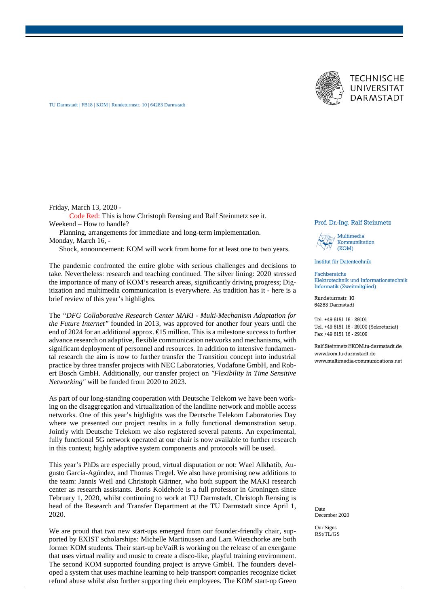



TU Darmstadt | FB18 | KOM | Rundeturmstr. 10 | 64283 Darmstadt

Friday, March 13, 2020 -

Code Red: This is how Christoph Rensing and Ralf Steinmetz see it. Weekend – How to handle?

Planning, arrangements for immediate and long-term implementation. Monday, March 16, -

Shock, announcement: KOM will work from home for at least one to two years.

The pandemic confronted the entire globe with serious challenges and decisions to take. Nevertheless: research and teaching continued. The silver lining: 2020 stressed the importance of many of KOM's research areas, significantly driving progress; Digitization and multimedia communication is everywhere. As tradition has it - here is a brief review of this year's highlights.

The *"DFG Collaborative Research Center MAKI - Multi-Mechanism Adaptation for the Future Internet"* founded in 2013, was approved for another four years until the end of 2024 for an additional approx. €15 million. This is a milestone success to further advance research on adaptive, flexible communication networks and mechanisms, with significant deployment of personnel and resources. In addition to intensive fundamental research the aim is now to further transfer the Transition concept into industrial practice by three transfer projects with NEC Laboratories, Vodafone GmbH, and Robert Bosch GmbH. Additionally, our transfer project on *"Flexibility in Time Sensitive Networking"* will be funded from 2020 to 2023.

As part of our long-standing cooperation with Deutsche Telekom we have been working on the disaggregation and virtualization of the landline network and mobile access networks. One of this year's highlights was the Deutsche Telekom Laboratories Day where we presented our project results in a fully functional demonstration setup. Jointly with Deutsche Telekom we also registered several patents. An experimental, fully functional 5G network operated at our chair is now available to further research in this context; highly adaptive system components and protocols will be used.

This year's PhDs are especially proud, virtual disputation or not: Wael Alkhatib, Augusto García-Agúndez, and Thomas Tregel. We also have promising new additions to the team: Jannis Weil and Christoph Gärtner, who both support the MAKI research center as research assistants. Boris Koldehofe is a full professor in Groningen since February 1, 2020, whilst continuing to work at TU Darmstadt. Christoph Rensing is head of the Research and Transfer Department at the TU Darmstadt since April 1, 2020.

We are proud that two new start-ups emerged from our founder-friendly chair, supported by EXIST scholarships: Michelle Martinussen and Lara Wietschorke are both former KOM students. Their start-up beVaiR is working on the release of an exergame that uses virtual reality and music to create a disco-like, playful training environment. The second KOM supported founding project is arryve GmbH. The founders developed a system that uses machine learning to help transport companies recognize ticket refund abuse whilst also further supporting their employees. The KOM start-up Green

## Prof. Dr.-Ing. Ralf Steinmetz



Institut für Datentechnik

Fachbereiche Elektrotechnik und Informationstechnik Informatik (Zweitmitglied)

Rundeturmstr. 10 64283 Darmstadt

Tel. +49 6151 16 - 29101 Tel. +49 6151 16 - 29100 (Sekretariat) Fax +49 6151 16 - 29109

Ralf.Steinmetz@KOM.tu-darmstadt.de www.kom.tu-darmstadt.de www.multimedia-communications.net

Date December 2020

Our Signs RSt/TL/GS